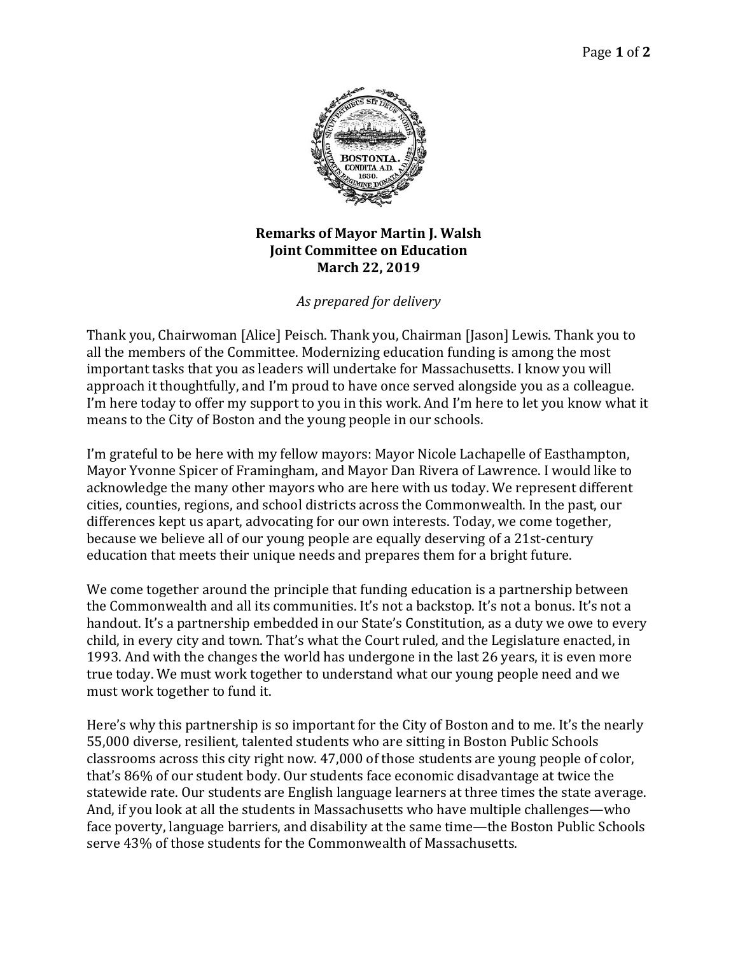

## **Remarks of Mayor Martin J. Walsh Joint Committee on Education March 22, 2019**

*As prepared for delivery*

Thank you, Chairwoman [Alice] Peisch. Thank you, Chairman [Jason] Lewis. Thank you to all the members of the Committee. Modernizing education funding is among the most important tasks that you as leaders will undertake for Massachusetts. I know you will approach it thoughtfully, and I'm proud to have once served alongside you as a colleague. I'm here today to offer my support to you in this work. And I'm here to let you know what it means to the City of Boston and the young people in our schools.

I'm grateful to be here with my fellow mayors: Mayor Nicole Lachapelle of Easthampton, Mayor Yvonne Spicer of Framingham, and Mayor Dan Rivera of Lawrence. I would like to acknowledge the many other mayors who are here with us today. We represent different cities, counties, regions, and school districts across the Commonwealth. In the past, our differences kept us apart, advocating for our own interests. Today, we come together, because we believe all of our young people are equally deserving of a 21st-century education that meets their unique needs and prepares them for a bright future.

We come together around the principle that funding education is a partnership between the Commonwealth and all its communities. It's not a backstop. It's not a bonus. It's not a handout. It's a partnership embedded in our State's Constitution, as a duty we owe to every child, in every city and town. That's what the Court ruled, and the Legislature enacted, in 1993. And with the changes the world has undergone in the last 26 years, it is even more true today. We must work together to understand what our young people need and we must work together to fund it.

Here's why this partnership is so important for the City of Boston and to me. It's the nearly 55,000 diverse, resilient, talented students who are sitting in Boston Public Schools classrooms across this city right now. 47,000 of those students are young people of color, that's 86% of our student body. Our students face economic disadvantage at twice the statewide rate. Our students are English language learners at three times the state average. And, if you look at all the students in Massachusetts who have multiple challenges—who face poverty, language barriers, and disability at the same time—the Boston Public Schools serve 43% of those students for the Commonwealth of Massachusetts.